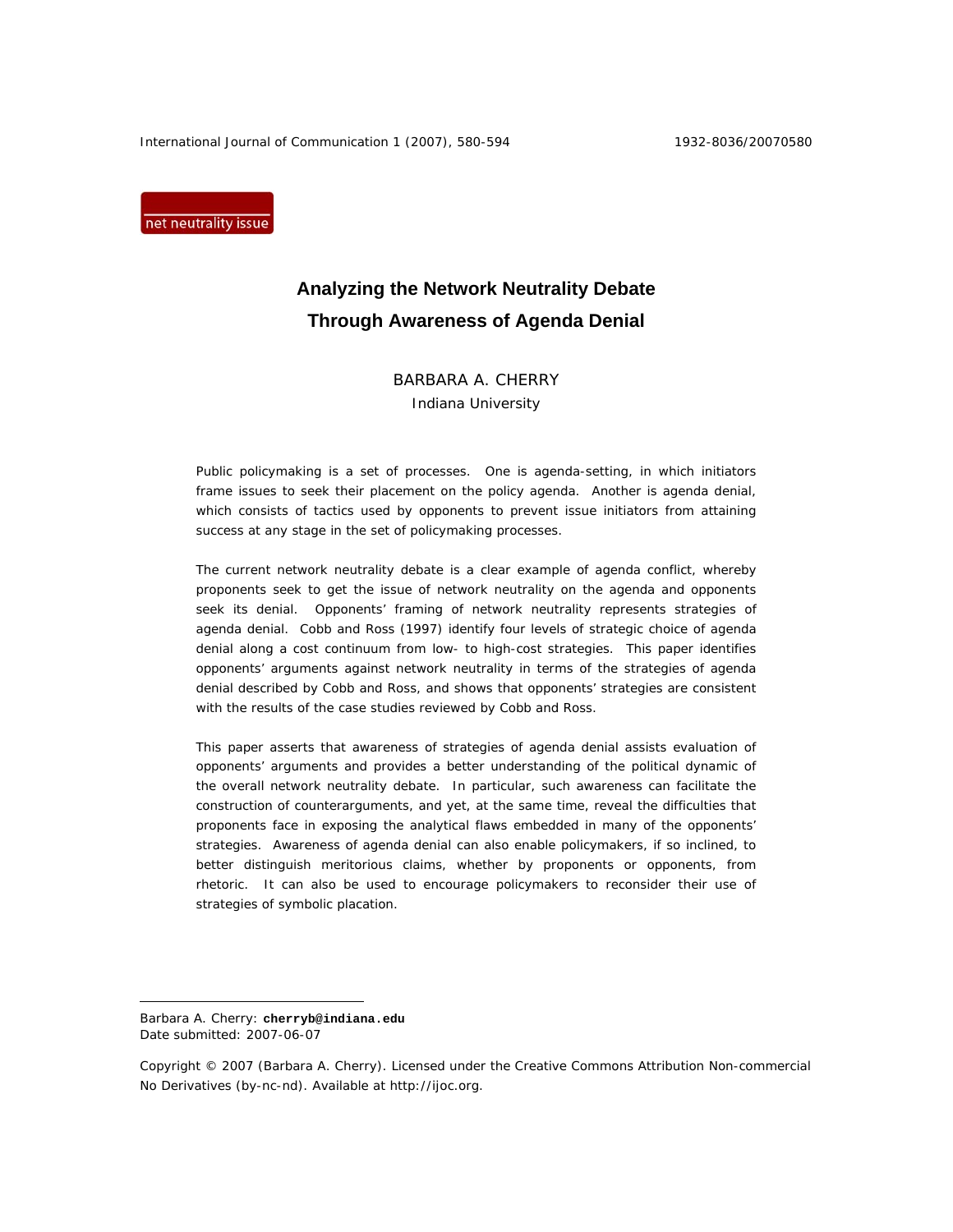International Journal of Communication 1 (2007), 580-594 1932-8036/20070580

net neutrality issue

# **Analyzing the Network Neutrality Debate Through Awareness of Agenda Denial**

BARBARA A. CHERRY Indiana University

Public policymaking is a set of processes. One is *agenda-setting*, in which initiators frame issues to seek their placement on the policy agenda. Another is *agenda denial*, which consists of tactics used by opponents to prevent issue initiators from attaining success at any stage in the set of policymaking processes.

The current network neutrality debate is a clear example of agenda conflict, whereby proponents seek to get the issue of network neutrality on the agenda and opponents seek its denial. Opponents' framing of network neutrality represents strategies of agenda denial. Cobb and Ross (1997) identify four levels of strategic choice of agenda denial along a cost continuum from low- to high-cost strategies. This paper identifies opponents' arguments against network neutrality in terms of the strategies of agenda denial described by Cobb and Ross, and shows that opponents' strategies are consistent with the results of the case studies reviewed by Cobb and Ross.

This paper asserts that awareness of strategies of agenda denial assists evaluation of opponents' arguments and provides a better understanding of the political dynamic of the overall network neutrality debate. In particular, such awareness can facilitate the construction of counterarguments, and yet, at the same time, reveal the difficulties that proponents face in exposing the analytical flaws embedded in many of the opponents' strategies. Awareness of agenda denial can also enable policymakers, if so inclined, to better distinguish meritorious claims, whether by proponents or opponents, from rhetoric. It can also be used to encourage policymakers to reconsider their use of strategies of symbolic placation.

 $\overline{a}$ 

Barbara A. Cherry: **cherryb@indiana.edu**  Date submitted: 2007-06-07

Copyright © 2007 (Barbara A. Cherry). Licensed under the Creative Commons Attribution Non-commercial No Derivatives (by-nc-nd). Available at http://ijoc.org.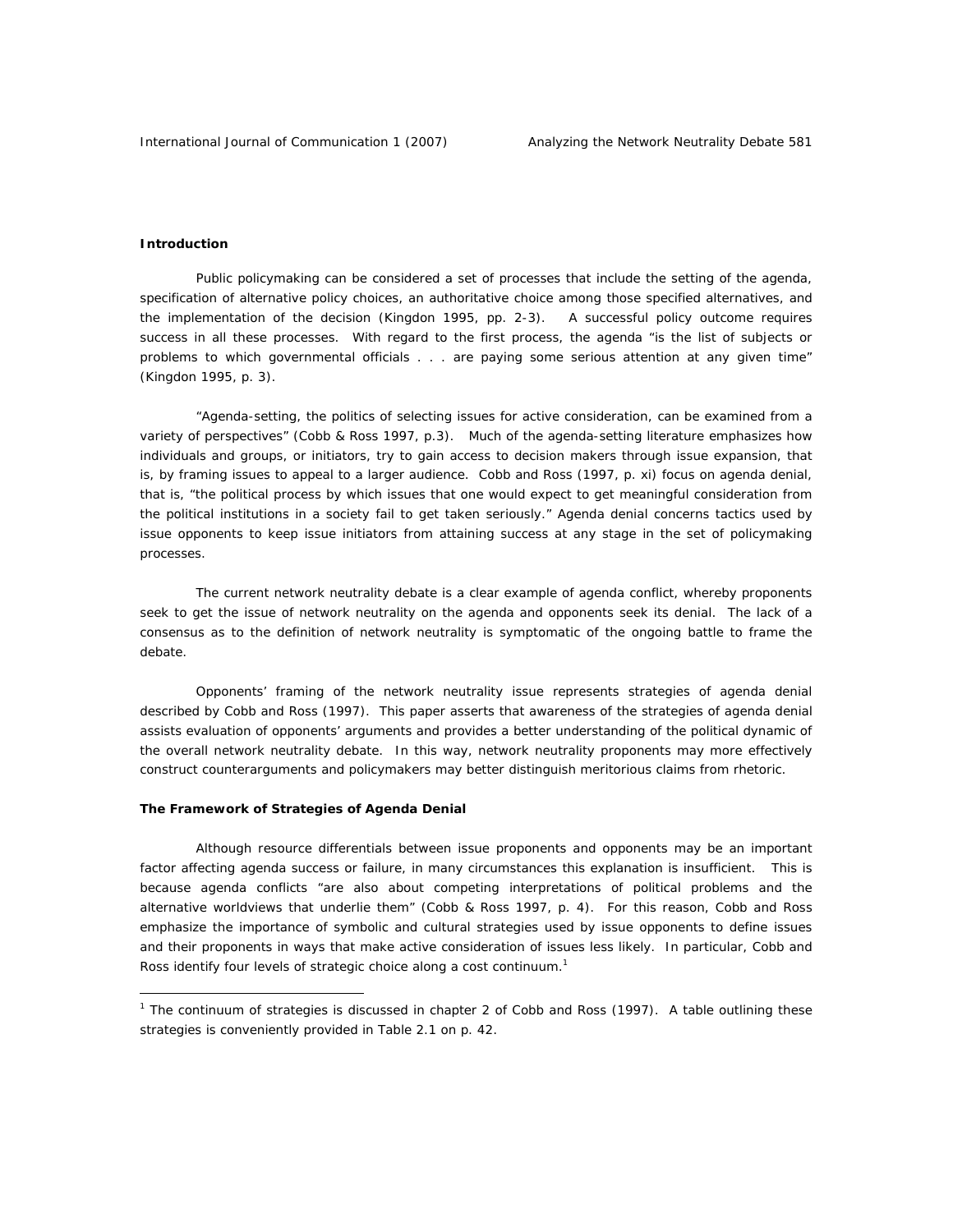# **Introduction**

 $\overline{a}$ 

Public policymaking can be considered a set of processes that include the setting of the agenda, specification of alternative policy choices, an authoritative choice among those specified alternatives, and the implementation of the decision (Kingdon 1995, pp. 2-3). A successful policy outcome requires success in all these processes. With regard to the first process, the agenda "is the list of subjects or problems to which governmental officials . . . are paying some serious attention at any given time" (Kingdon 1995, p. 3).

"*Agenda-setting*, the politics of selecting issues for active consideration, can be examined from a variety of perspectives" (Cobb & Ross 1997, p.3). Much of the agenda-setting literature emphasizes how individuals and groups, or initiators, try to gain access to decision makers through issue expansion, that is, by framing issues to appeal to a larger audience. Cobb and Ross (1997, p. xi) focus on *agenda denial*, that is, "the political process by which issues that one would expect to get meaningful consideration from the political institutions in a society fail to get taken seriously." Agenda denial concerns tactics used by issue opponents to keep issue initiators from attaining success at any stage in the set of policymaking processes.

The current network neutrality debate is a clear example of agenda conflict, whereby proponents seek to get the issue of network neutrality on the agenda and opponents seek its denial. The lack of a consensus as to the definition of network neutrality is symptomatic of the ongoing battle to frame the debate.

Opponents' framing of the network neutrality issue represents strategies of agenda denial described by Cobb and Ross (1997). This paper asserts that awareness of the strategies of agenda denial assists evaluation of opponents' arguments and provides a better understanding of the political dynamic of the overall network neutrality debate. In this way, network neutrality proponents may more effectively construct counterarguments and policymakers may better distinguish meritorious claims from rhetoric.

# **The Framework of Strategies of Agenda Denial**

Although resource differentials between issue proponents and opponents may be an important factor affecting agenda success or failure, in many circumstances this explanation is insufficient. This is because agenda conflicts "are also about competing interpretations of political problems and the alternative worldviews that underlie them" (Cobb & Ross 1997, p. 4). For this reason, Cobb and Ross emphasize the importance of symbolic and cultural strategies used by issue opponents to define issues and their proponents in ways that make active consideration of issues less likely. In particular, Cobb and Ross identify four levels of strategic choice along a cost continuum. $1$ 

<sup>&</sup>lt;sup>1</sup> The continuum of strategies is discussed in chapter 2 of Cobb and Ross (1997). A table outlining these strategies is conveniently provided in Table 2.1 on p. 42.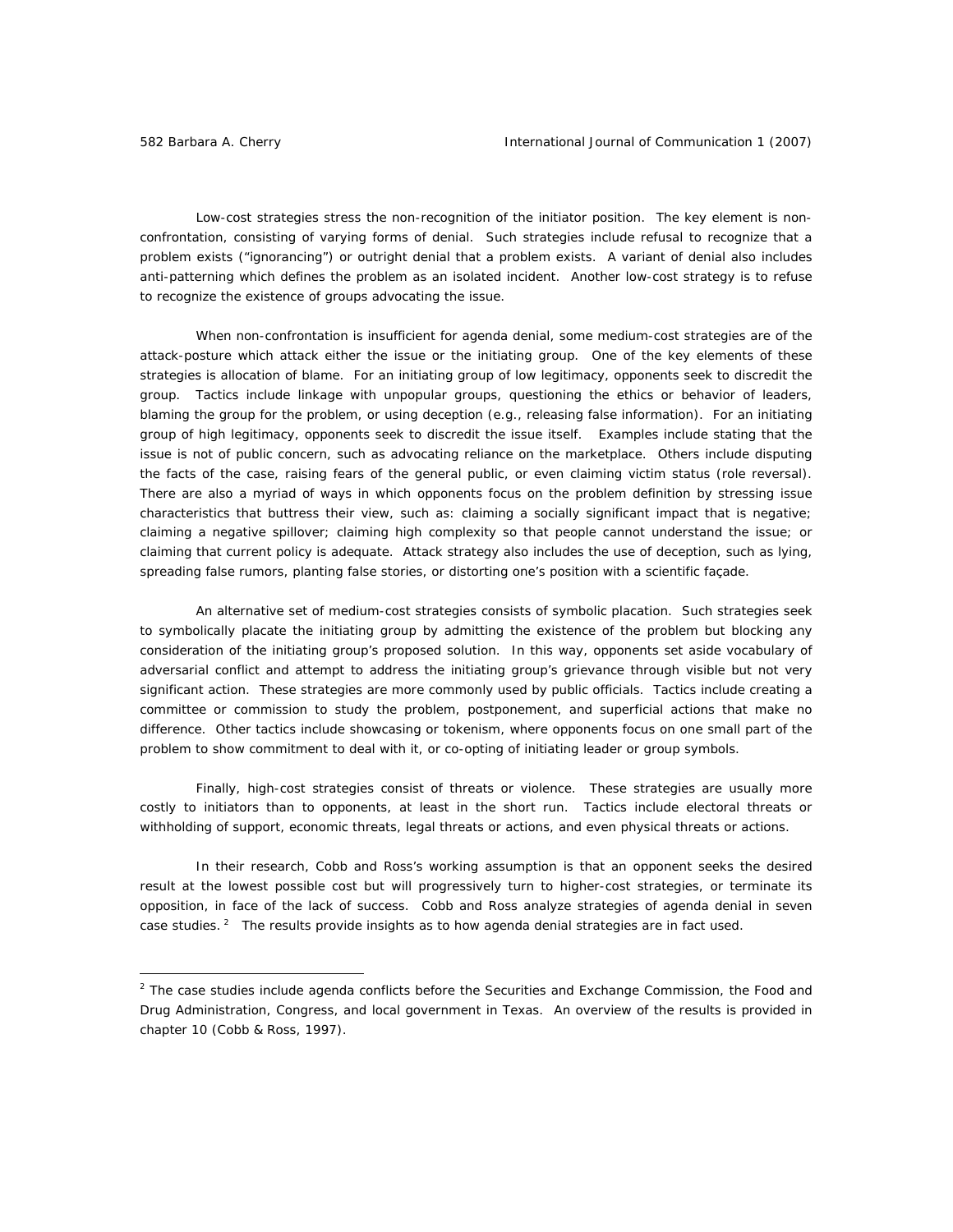*Low-cost strategies* stress the non-recognition of the initiator position. The key element is nonconfrontation, consisting of varying forms of denial. Such strategies include refusal to recognize that a problem exists ("ignorancing") or outright denial that a problem exists. A variant of denial also includes anti-patterning which defines the problem as an isolated incident. Another low-cost strategy is to refuse to recognize the existence of groups advocating the issue.

When non-confrontation is insufficient for agenda denial, some *medium-cost strategies* are of the *attack-posture* which attack either the issue or the initiating group. One of the key elements of these strategies is allocation of blame. For an initiating group of low legitimacy, opponents seek to discredit the group. Tactics include linkage with unpopular groups, questioning the ethics or behavior of leaders, blaming the group for the problem, or using deception (e.g., releasing false information). For an initiating group of high legitimacy, opponents seek to discredit the issue itself. Examples include stating that the issue is not of public concern, such as advocating reliance on the marketplace. Others include disputing the facts of the case, raising fears of the general public, or even claiming victim status (role reversal). There are also a myriad of ways in which opponents focus on the problem definition by stressing issue characteristics that buttress their view, such as: claiming a socially significant impact that is negative; claiming a negative spillover; claiming high complexity so that people cannot understand the issue; or claiming that current policy is adequate. Attack strategy also includes the use of deception, such as lying, spreading false rumors, planting false stories, or distorting one's position with a scientific façade.

An alternative set of *medium-cost strategies* consists of *symbolic placation*. Such strategies seek to symbolically placate the initiating group by admitting the existence of the problem but blocking any consideration of the initiating group's proposed solution. In this way, opponents set aside vocabulary of adversarial conflict and attempt to address the initiating group's grievance through visible but not very significant action. These strategies are more commonly used by public officials. Tactics include creating a committee or commission to study the problem, postponement, and superficial actions that make no difference. Other tactics include showcasing or tokenism, where opponents focus on one small part of the problem to show commitment to deal with it, or co-opting of initiating leader or group symbols.

Finally, *high-cost strategies* consist of threats or violence. These strategies are usually more costly to initiators than to opponents, at least in the short run. Tactics include electoral threats or withholding of support, economic threats, legal threats or actions, and even physical threats or actions.

In their research, Cobb and Ross's working assumption is that an opponent seeks the desired result at the lowest possible cost but will progressively turn to higher-cost strategies, or terminate its opposition, in face of the lack of success. Cobb and Ross analyze strategies of agenda denial in seven case studies. $<sup>2</sup>$  The results provide insights as to how agenda denial strategies are in fact used.</sup>

<sup>&</sup>lt;sup>2</sup> The case studies include agenda conflicts before the Securities and Exchange Commission, the Food and Drug Administration, Congress, and local government in Texas. An overview of the results is provided in chapter 10 (Cobb & Ross, 1997).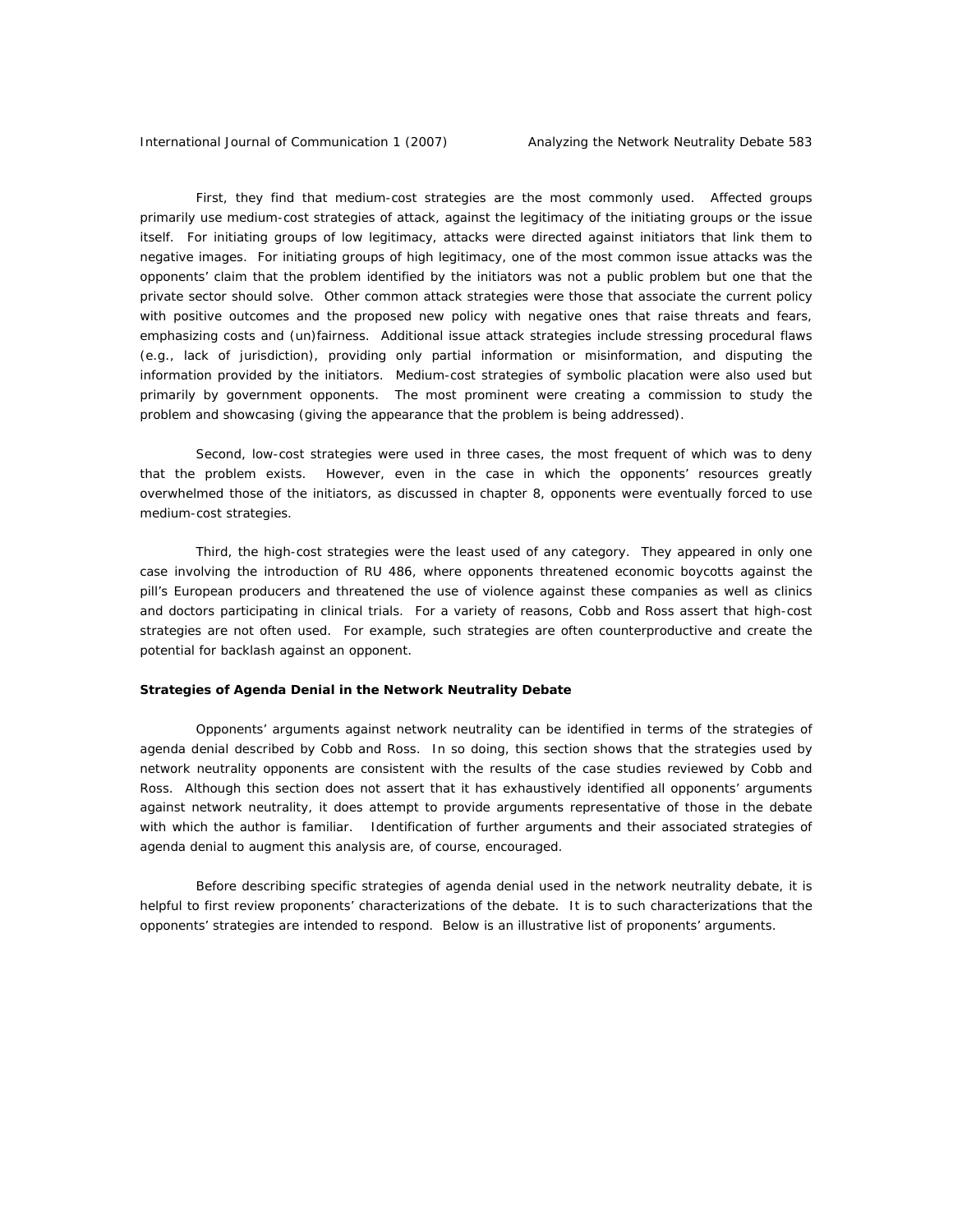First, they find that medium-cost strategies are the most commonly used. Affected groups primarily use medium-cost strategies of attack, against the legitimacy of the initiating groups or the issue itself. For initiating groups of low legitimacy, attacks were directed against initiators that link them to negative images. For initiating groups of high legitimacy, one of the most common issue attacks was the opponents' claim that the problem identified by the initiators was not a public problem but one that the private sector should solve. Other common attack strategies were those that associate the current policy with positive outcomes and the proposed new policy with negative ones that raise threats and fears, emphasizing costs and (un)fairness. Additional issue attack strategies include stressing procedural flaws (e.g., lack of jurisdiction), providing only partial information or misinformation, and disputing the information provided by the initiators. Medium-cost strategies of symbolic placation were also used but primarily by government opponents. The most prominent were creating a commission to study the problem and showcasing (giving the appearance that the problem is being addressed).

Second, low-cost strategies were used in three cases, the most frequent of which was to deny that the problem exists. However, even in the case in which the opponents' resources greatly overwhelmed those of the initiators, as discussed in chapter 8, opponents were eventually forced to use medium-cost strategies.

Third, the high-cost strategies were the least used of any category. They appeared in only one case involving the introduction of RU 486, where opponents threatened economic boycotts against the pill's European producers and threatened the use of violence against these companies as well as clinics and doctors participating in clinical trials. For a variety of reasons, Cobb and Ross assert that high-cost strategies are not often used. For example, such strategies are often counterproductive and create the potential for backlash against an opponent.

#### **Strategies of Agenda Denial in the Network Neutrality Debate**

Opponents' arguments against network neutrality can be identified in terms of the strategies of agenda denial described by Cobb and Ross. In so doing, this section shows that the strategies used by network neutrality opponents are consistent with the results of the case studies reviewed by Cobb and Ross. Although this section does not assert that it has exhaustively identified all opponents' arguments against network neutrality, it does attempt to provide arguments representative of those in the debate with which the author is familiar. Identification of further arguments and their associated strategies of agenda denial to augment this analysis are, of course, encouraged.

Before describing specific strategies of agenda denial used in the network neutrality debate, it is helpful to first review proponents' characterizations of the debate. It is to such characterizations that the opponents' strategies are intended to respond. Below is an illustrative list of proponents' arguments.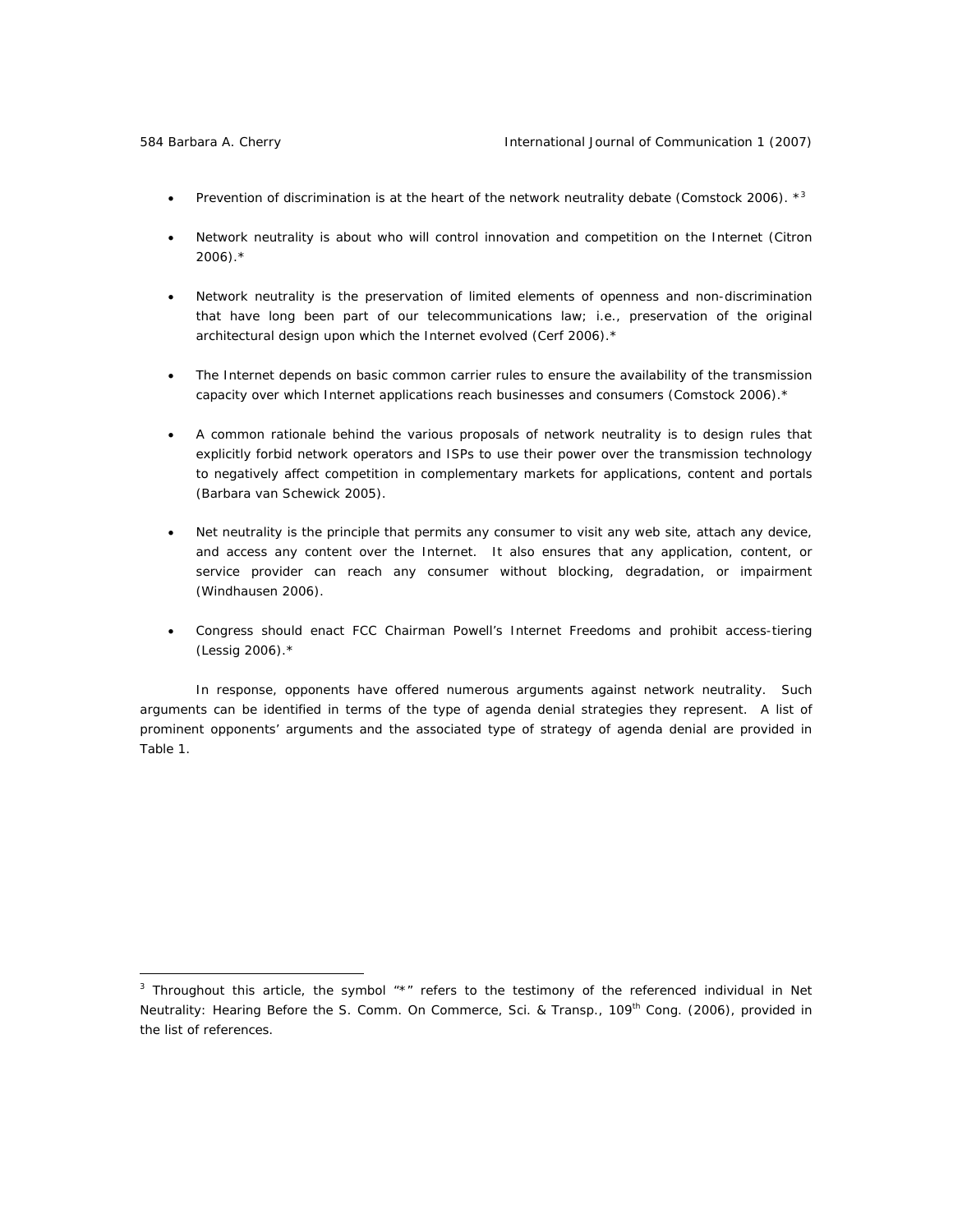- Prevention of discrimination is at the heart of the network neutrality debate (Comstock 2006).  $*^3$
- Network neutrality is about who will control innovation and competition on the Internet (Citron  $2006$ ). $*$
- Network neutrality is the preservation of limited elements of openness and non-discrimination that have long been part of our telecommunications law; i.e., preservation of the original architectural design upon which the Internet evolved (Cerf 2006).\*
- The Internet depends on basic common carrier rules to ensure the availability of the transmission capacity over which Internet applications reach businesses and consumers (Comstock 2006).\*
- A common rationale behind the various proposals of network neutrality is to design rules that explicitly forbid network operators and ISPs to use their power over the transmission technology to negatively affect competition in complementary markets for applications, content and portals (Barbara van Schewick 2005).
- Net neutrality is the principle that permits any consumer to visit any web site, attach any device, and access any content over the Internet. It also ensures that any application, content, or service provider can reach any consumer without blocking, degradation, or impairment (Windhausen 2006).
- Congress should enact FCC Chairman Powell's Internet Freedoms and prohibit access-tiering (Lessig 2006).\*

In response, opponents have offered numerous arguments against network neutrality. Such arguments can be identified in terms of the type of agenda denial strategies they represent. A list of prominent opponents' arguments and the associated type of strategy of agenda denial are provided in Table 1.

<sup>3</sup> Throughout this article, the symbol "\*" refers to the testimony of the referenced individual in *Net Neutrality: Hearing Before the S. Comm. On Commerce, Sci. & Transp.,* 109th Cong. (2006), provided in the list of references.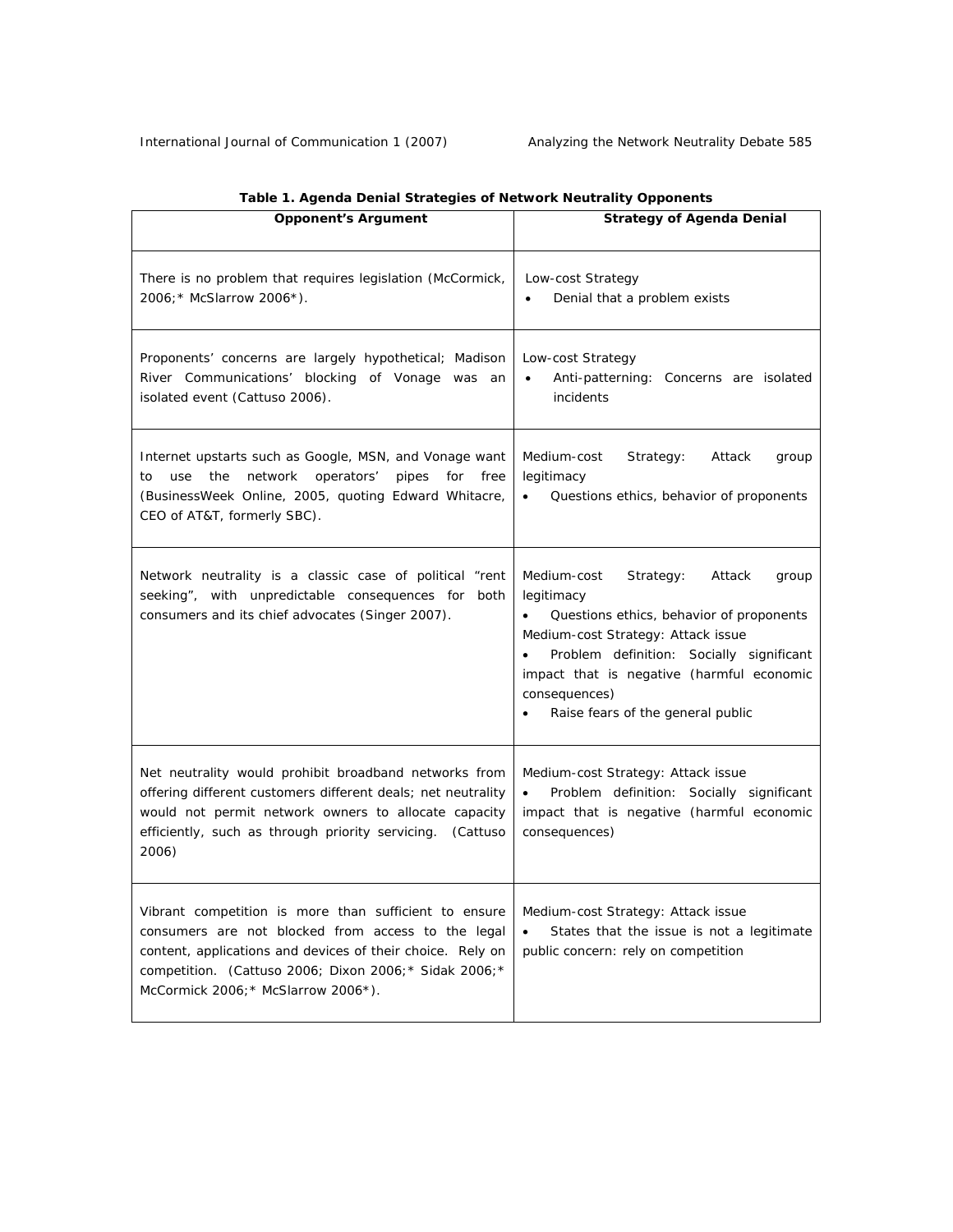| <b>Opponent's Argument</b>                                                                                                                                                                                                                                                  | <b>Strategy of Agenda Denial</b>                                                                                                                                                                                                                                                           |
|-----------------------------------------------------------------------------------------------------------------------------------------------------------------------------------------------------------------------------------------------------------------------------|--------------------------------------------------------------------------------------------------------------------------------------------------------------------------------------------------------------------------------------------------------------------------------------------|
| There is no problem that requires legislation (McCormick,<br>2006; * McSlarrow 2006*).                                                                                                                                                                                      | Low-cost Strategy<br>Denial that a problem exists<br>$\bullet$                                                                                                                                                                                                                             |
| Proponents' concerns are largely hypothetical; Madison<br>River Communications' blocking of Vonage was an<br>isolated event (Cattuso 2006).                                                                                                                                 | Low-cost Strategy<br>Anti-patterning: Concerns are isolated<br>$\bullet$<br>incidents                                                                                                                                                                                                      |
| Internet upstarts such as Google, MSN, and Vonage want<br>use the<br>network<br>operators'<br>pipes<br>free<br>to<br>for<br>(BusinessWeek Online, 2005, quoting Edward Whitacre,<br>CEO of AT&T, formerly SBC).                                                             | Medium-cost<br>Strategy:<br>Attack<br>group<br>legitimacy<br>Questions ethics, behavior of proponents                                                                                                                                                                                      |
| Network neutrality is a classic case of political "rent<br>seeking", with unpredictable consequences for<br>both<br>consumers and its chief advocates (Singer 2007).                                                                                                        | Medium-cost<br>Strategy:<br>Attack<br>group<br>legitimacy<br>Questions ethics, behavior of proponents<br>Medium-cost Strategy: Attack issue<br>Problem definition: Socially significant<br>impact that is negative (harmful economic<br>consequences)<br>Raise fears of the general public |
| Net neutrality would prohibit broadband networks from<br>offering different customers different deals; net neutrality<br>would not permit network owners to allocate capacity<br>efficiently, such as through priority servicing.<br>(Cattuso)<br>2006)                     | Medium-cost Strategy: Attack issue<br>Problem definition: Socially significant<br>impact that is negative (harmful economic<br>consequences)                                                                                                                                               |
| Vibrant competition is more than sufficient to ensure<br>consumers are not blocked from access to the legal<br>content, applications and devices of their choice. Rely on<br>competition. (Cattuso 2006; Dixon 2006; * Sidak 2006; *<br>McCormick 2006; * McSlarrow 2006*). | Medium-cost Strategy: Attack issue<br>States that the issue is not a legitimate<br>$\bullet$<br>public concern: rely on competition                                                                                                                                                        |

# **Table 1. Agenda Denial Strategies of Network Neutrality Opponents**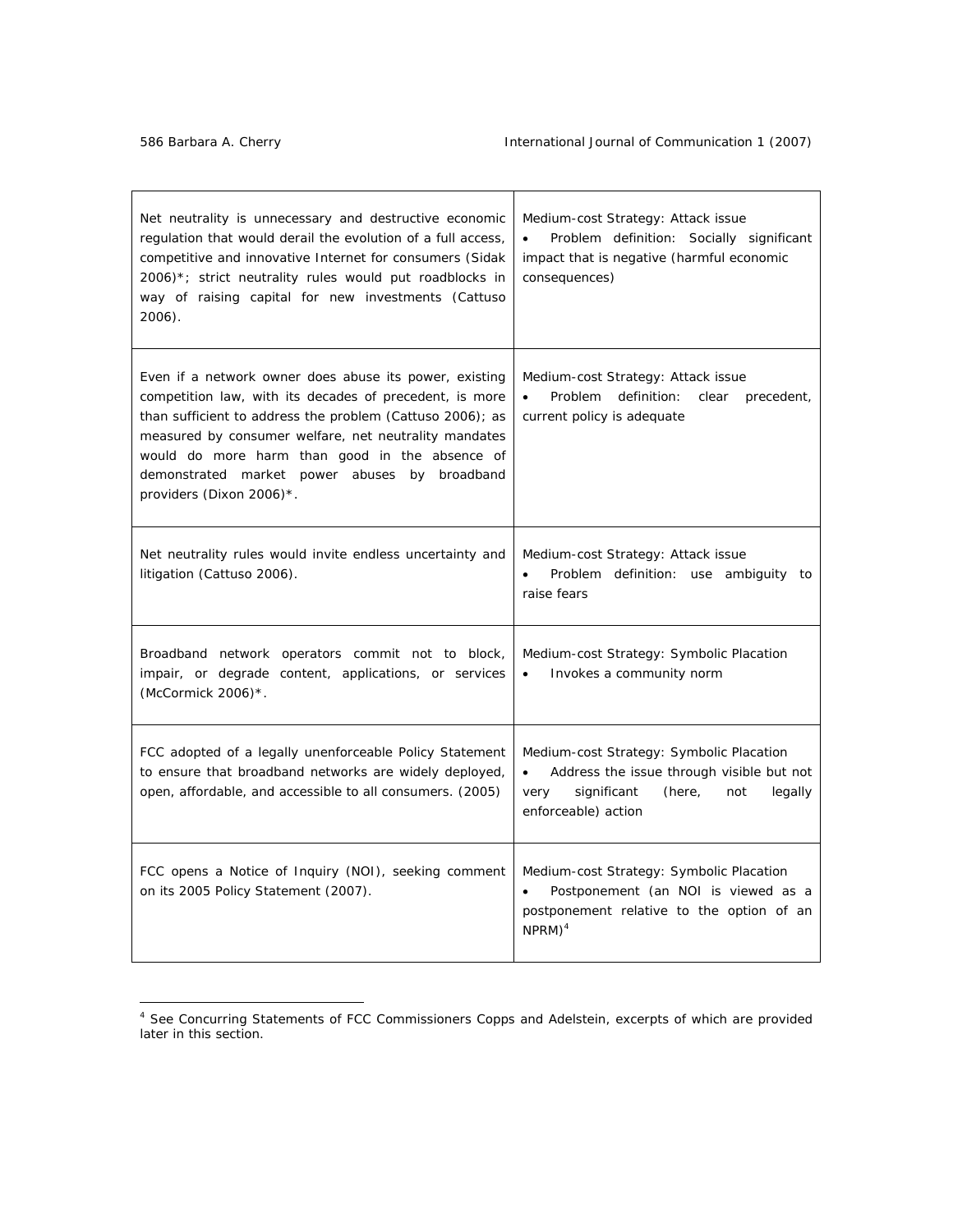| Net neutrality is unnecessary and destructive economic<br>regulation that would derail the evolution of a full access,<br>competitive and innovative Internet for consumers (Sidak<br>$2006$ <sup>*</sup> ; strict neutrality rules would put roadblocks in<br>way of raising capital for new investments (Cattuso<br>2006).                                           | Medium-cost Strategy: Attack issue<br>Problem definition: Socially significant<br>$\bullet$<br>impact that is negative (harmful economic<br>consequences)            |
|------------------------------------------------------------------------------------------------------------------------------------------------------------------------------------------------------------------------------------------------------------------------------------------------------------------------------------------------------------------------|----------------------------------------------------------------------------------------------------------------------------------------------------------------------|
| Even if a network owner does abuse its power, existing<br>competition law, with its decades of precedent, is more<br>than sufficient to address the problem (Cattuso 2006); as<br>measured by consumer welfare, net neutrality mandates<br>would do more harm than good in the absence of<br>demonstrated market power abuses by broadband<br>providers (Dixon 2006)*. | Medium-cost Strategy: Attack issue<br><b>Problem</b><br>definition:<br>clear<br>precedent,<br>current policy is adequate                                             |
| Net neutrality rules would invite endless uncertainty and<br>litigation (Cattuso 2006).                                                                                                                                                                                                                                                                                | Medium-cost Strategy: Attack issue<br>Problem definition: use ambiguity to<br>raise fears                                                                            |
| Broadband network operators commit not to block,<br>impair, or degrade content, applications, or services<br>(McCormick $2006$ )*.                                                                                                                                                                                                                                     | Medium-cost Strategy: Symbolic Placation<br>Invokes a community norm<br>$\bullet$                                                                                    |
| FCC adopted of a legally unenforceable Policy Statement<br>to ensure that broadband networks are widely deployed,<br>open, affordable, and accessible to all consumers. (2005)                                                                                                                                                                                         | Medium-cost Strategy: Symbolic Placation<br>Address the issue through visible but not<br>٠<br>very<br>significant<br>(here,<br>not<br>legally<br>enforceable) action |
| FCC opens a Notice of Inquiry (NOI), seeking comment<br>on its 2005 Policy Statement (2007).                                                                                                                                                                                                                                                                           | Medium-cost Strategy: Symbolic Placation<br>Postponement (an NOI is viewed as a<br>postponement relative to the option of an<br>$NPRM)^4$                            |

<sup>4</sup> *See* Concurring Statements of FCC Commissioners Copps and Adelstein, excerpts of which are provided later in this section.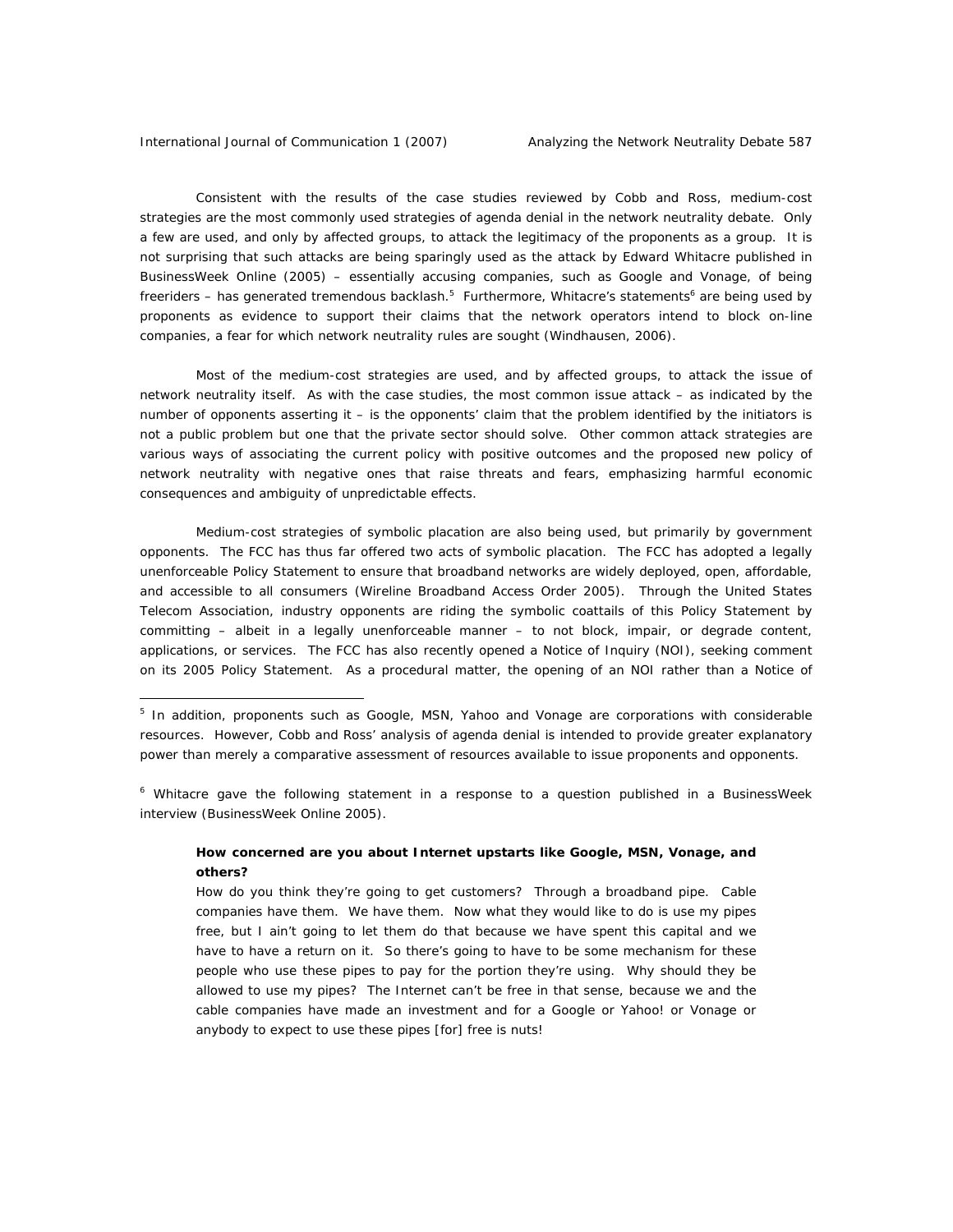Consistent with the results of the case studies reviewed by Cobb and Ross, medium-cost strategies are the most commonly used strategies of agenda denial in the network neutrality debate. Only a few are used, and only by affected groups, to attack the legitimacy of the proponents as a group. It is not surprising that such attacks are being sparingly used as the attack by Edward Whitacre published in BusinessWeek Online (2005) – essentially accusing companies, such as Google and Vonage, of being freeriders – has generated tremendous backlash.<sup>5</sup> Furthermore, Whitacre's statements<sup>6</sup> are being used by proponents as evidence to support their claims that the network operators intend to block on-line companies, a fear for which network neutrality rules are sought (Windhausen, 2006).

Most of the medium-cost strategies are used, and by affected groups, to attack the issue of network neutrality itself. As with the case studies, the most common issue attack – as indicated by the number of opponents asserting it – is the opponents' claim that the problem identified by the initiators is not a public problem but one that the private sector should solve. Other common attack strategies are various ways of associating the current policy with positive outcomes and the proposed new policy of network neutrality with negative ones that raise threats and fears, emphasizing harmful economic consequences and ambiguity of unpredictable effects.

Medium-cost strategies of symbolic placation are also being used, but primarily by government opponents. The FCC has thus far offered two acts of symbolic placation. The FCC has adopted a legally unenforceable Policy Statement to ensure that broadband networks are widely deployed, open, affordable, and accessible to all consumers (*Wireline Broadband Access Order* 2005). Through the United States Telecom Association, industry opponents are riding the symbolic coattails of this Policy Statement by committing – albeit in a legally unenforceable manner – to not block, impair, or degrade content, applications, or services. The FCC has also recently opened a Notice of Inquiry (NOI), seeking comment on its 2005 Policy Statement. As a procedural matter, the opening of an NOI rather than a Notice of

<sup>6</sup> Whitacre gave the following statement in a response to a question published in a BusinessWeek interview (BusinessWeek Online 2005).

# **How concerned are you about Internet upstarts like Google, MSN, Vonage, and others?**

How do you think they're going to get customers? Through a broadband pipe. Cable companies have them. We have them. Now what they would like to do is use my pipes free, but I ain't going to let them do that because we have spent this capital and we have to have a return on it. So there's going to have to be some mechanism for these people who use these pipes to pay for the portion they're using. Why should they be allowed to use my pipes? The Internet can't be free in that sense, because we and the cable companies have made an investment and for a Google or Yahoo! or Vonage or anybody to expect to use these pipes [for] free is nuts!

<sup>&</sup>lt;sup>5</sup> In addition, proponents such as Google, MSN, Yahoo and Vonage are corporations with considerable resources. However, Cobb and Ross' analysis of agenda denial is intended to provide greater explanatory power than merely a comparative assessment of resources available to issue proponents and opponents.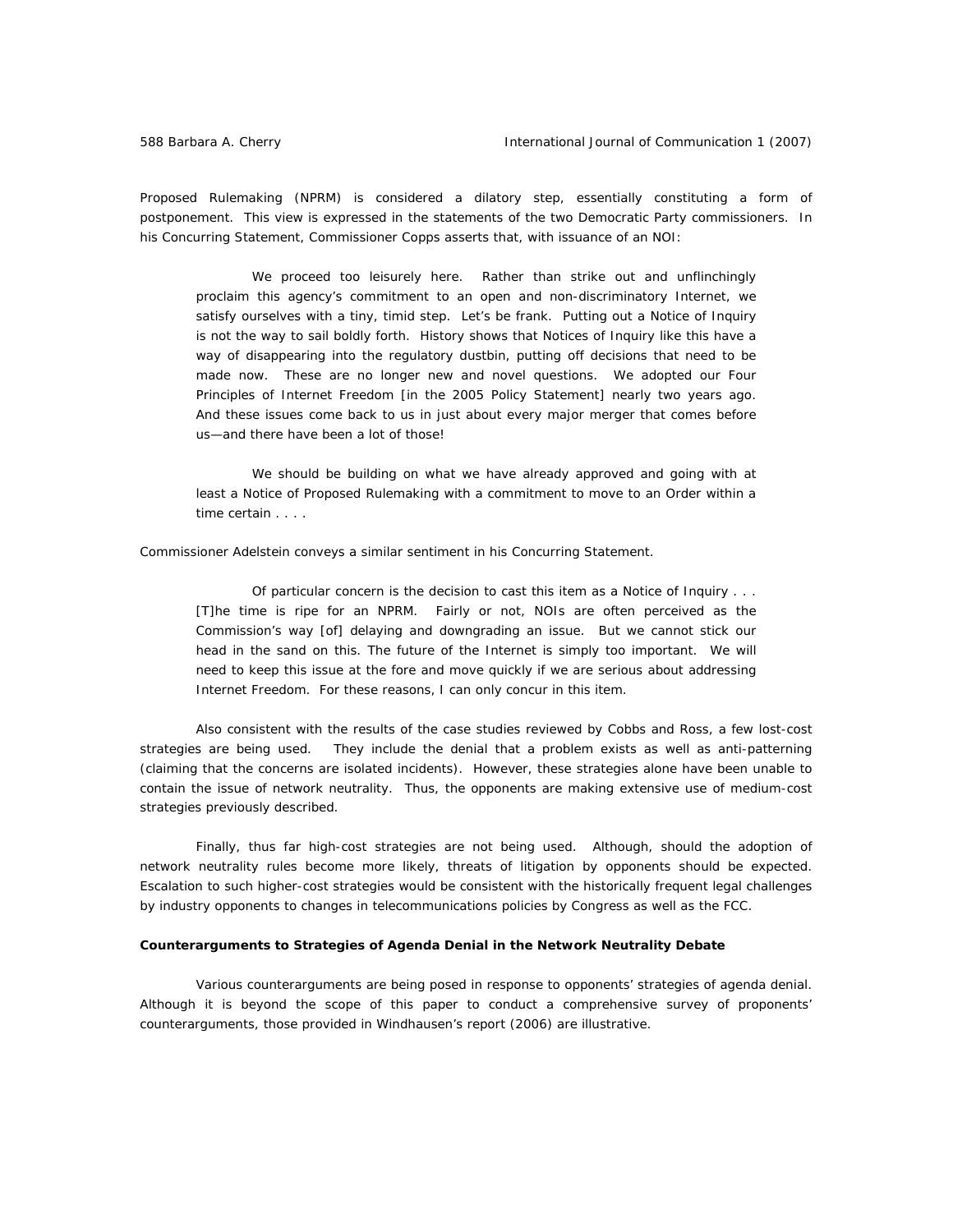Proposed Rulemaking (NPRM) is considered a dilatory step, essentially constituting a form of postponement. This view is expressed in the statements of the two Democratic Party commissioners. In his Concurring Statement, Commissioner Copps asserts that, with issuance of an NOI:

We proceed too leisurely here. Rather than strike out and unflinchingly proclaim this agency's commitment to an open and non-discriminatory Internet, we satisfy ourselves with a tiny, timid step. Let's be frank. Putting out a Notice of Inquiry is not the way to sail boldly forth. History shows that Notices of Inquiry like this have a way of disappearing into the regulatory dustbin, putting off decisions that need to be made now. These are no longer new and novel questions. We adopted our Four Principles of Internet Freedom [in the 2005 Policy Statement] nearly two years ago. And these issues come back to us in just about every major merger that comes before us—and there have been a lot of those!

We should be building on what we have already approved and going with at least a Notice of Proposed Rulemaking with a commitment to move to an Order within a time certain . . . .

Commissioner Adelstein conveys a similar sentiment in his Concurring Statement.

Of particular concern is the decision to cast this item as a Notice of Inquiry . . . [T]he time is ripe for an NPRM. Fairly or not, NOIs are often perceived as the Commission's way [of] delaying and downgrading an issue. But we cannot stick our head in the sand on this. The future of the Internet is simply too important. We will need to keep this issue at the fore and move quickly if we are serious about addressing Internet Freedom. For these reasons, I can only concur in this item.

Also consistent with the results of the case studies reviewed by Cobbs and Ross, a few lost-cost strategies are being used. They include the denial that a problem exists as well as anti-patterning (claiming that the concerns are isolated incidents). However, these strategies alone have been unable to contain the issue of network neutrality. Thus, the opponents are making extensive use of medium-cost strategies previously described.

Finally, thus far high-cost strategies are not being used. Although, should the adoption of network neutrality rules become more likely, threats of litigation by opponents should be expected. Escalation to such higher-cost strategies would be consistent with the historically frequent legal challenges by industry opponents to changes in telecommunications policies by Congress as well as the FCC.

#### **Counterarguments to Strategies of Agenda Denial in the Network Neutrality Debate**

Various counterarguments are being posed in response to opponents' strategies of agenda denial. Although it is beyond the scope of this paper to conduct a comprehensive survey of proponents' counterarguments, those provided in Windhausen's report (2006) are illustrative.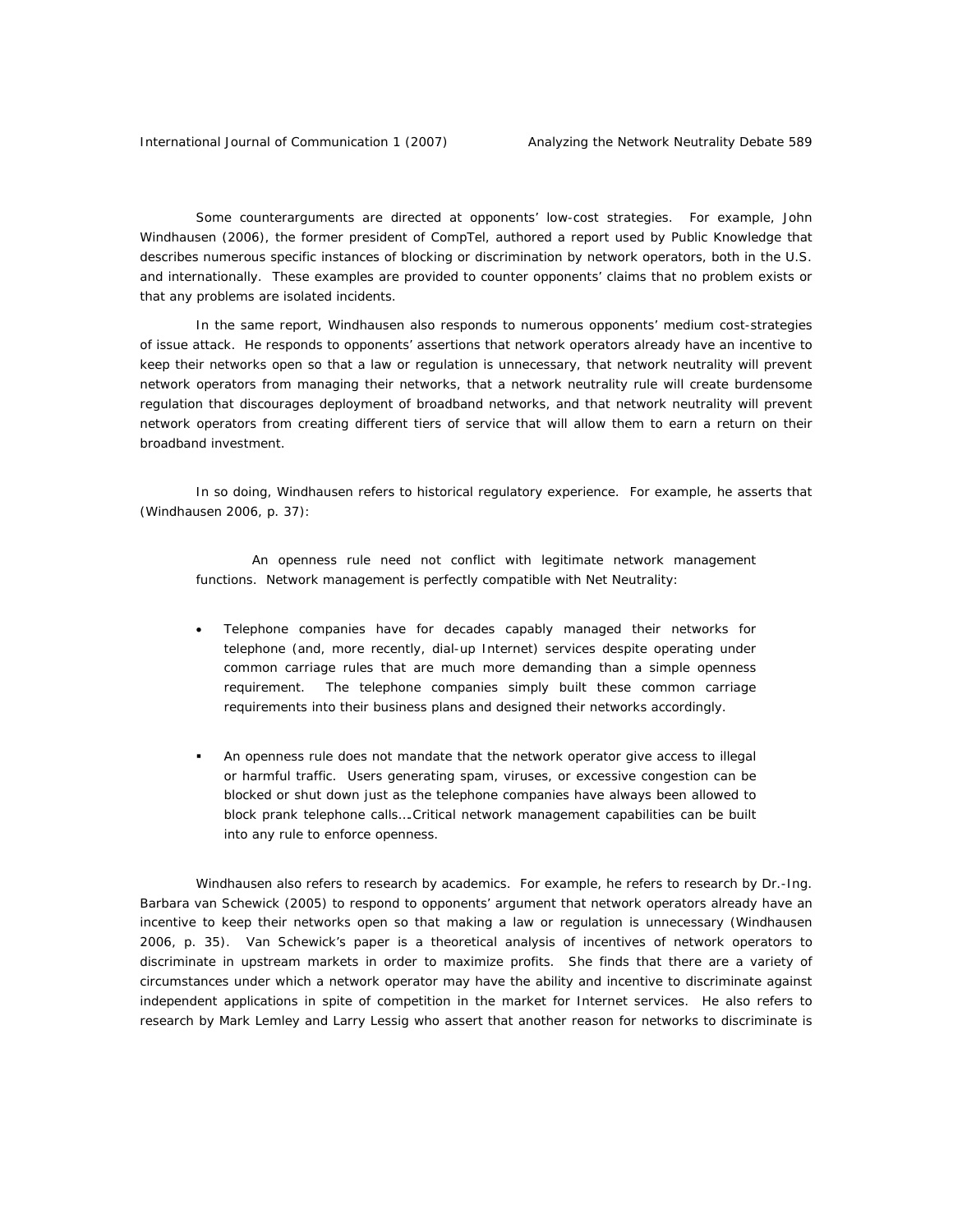Some counterarguments are directed at opponents' low-cost strategies. For example, John Windhausen (2006), the former president of CompTel, authored a report used by Public Knowledge that describes numerous specific instances of blocking or discrimination by network operators, both in the U.S. and internationally. These examples are provided to counter opponents' claims that no problem exists or that any problems are isolated incidents.

In the same report, Windhausen also responds to numerous opponents' medium cost-strategies of issue attack. He responds to opponents' assertions that network operators already have an incentive to keep their networks open so that a law or regulation is unnecessary, that network neutrality will prevent network operators from managing their networks, that a network neutrality rule will create burdensome regulation that discourages deployment of broadband networks, and that network neutrality will prevent network operators from creating different tiers of service that will allow them to earn a return on their broadband investment.

In so doing, Windhausen refers to historical regulatory experience. For example, he asserts that (Windhausen 2006, p. 37):

An openness rule need not conflict with legitimate network management functions. Network management is perfectly compatible with Net Neutrality:

- Telephone companies have for decades capably managed their networks for telephone (and, more recently, dial-up Internet) services despite operating under common carriage rules that are much more demanding than a simple openness requirement. The telephone companies simply built these common carriage requirements into their business plans and designed their networks accordingly.
- An openness rule does not mandate that the network operator give access to illegal or harmful traffic. Users generating spam, viruses, or excessive congestion can be blocked or shut down just as the telephone companies have always been allowed to block prank telephone calls….Critical network management capabilities can be built into any rule to enforce openness.

Windhausen also refers to research by academics. For example, he refers to research by Dr.-Ing. Barbara van Schewick (2005) to respond to opponents' argument that network operators already have an incentive to keep their networks open so that making a law or regulation is unnecessary (Windhausen 2006, p. 35). Van Schewick's paper is a theoretical analysis of incentives of network operators to discriminate in upstream markets in order to maximize profits. She finds that there are a variety of circumstances under which a network operator may have the ability and incentive to discriminate against independent applications in spite of competition in the market for Internet services. He also refers to research by Mark Lemley and Larry Lessig who assert that another reason for networks to discriminate is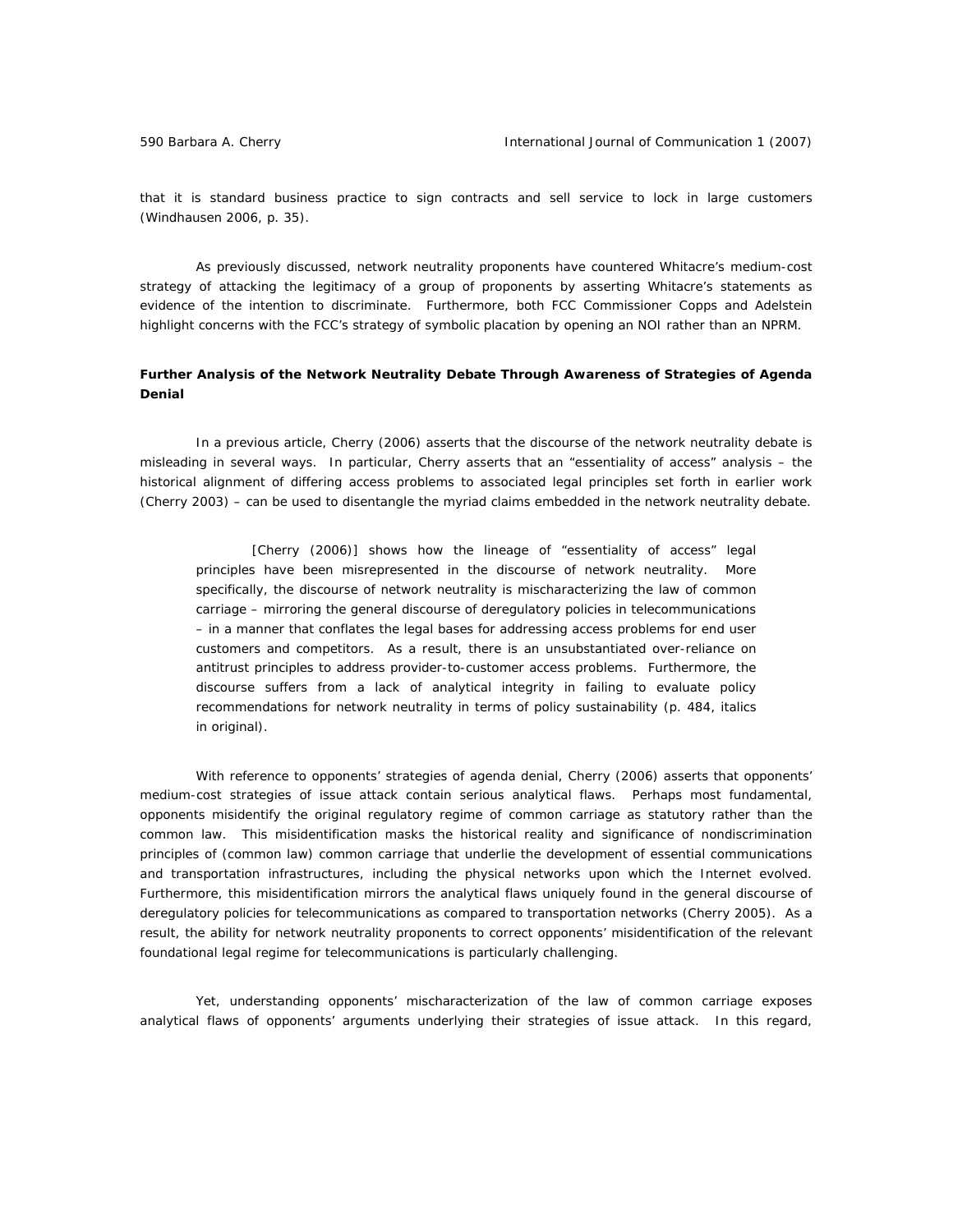that it is standard business practice to sign contracts and sell service to lock in large customers (Windhausen 2006, p. 35).

As previously discussed, network neutrality proponents have countered Whitacre's medium-cost strategy of attacking the legitimacy of a group of proponents by asserting Whitacre's statements as evidence of the intention to discriminate. Furthermore, both FCC Commissioner Copps and Adelstein highlight concerns with the FCC's strategy of symbolic placation by opening an NOI rather than an NPRM.

# **Further Analysis of the Network Neutrality Debate Through Awareness of Strategies of Agenda Denial**

In a previous article, Cherry (2006) asserts that the discourse of the network neutrality debate is misleading in several ways. In particular, Cherry asserts that an "essentiality of access" analysis – the historical alignment of differing access problems to associated legal principles set forth in earlier work (Cherry 2003) – can be used to disentangle the myriad claims embedded in the network neutrality debate.

[Cherry (2006)] shows how the lineage of "essentiality of access" legal principles have been misrepresented in the discourse of *network neutrality.* More specifically, the discourse of *network neutrality* is mischaracterizing the law of common carriage – mirroring the general discourse of deregulatory policies in telecommunications – in a manner that conflates the legal bases for addressing access problems for end user customers and competitors. As a result, there is an unsubstantiated over-reliance on antitrust principles to address provider-to-customer access problems. Furthermore, the discourse suffers from a lack of analytical integrity in failing to evaluate policy recommendations for network neutrality in terms of policy sustainability (p. 484, italics in original).

With reference to opponents' strategies of agenda denial, Cherry (2006) asserts that opponents' medium-cost strategies of issue attack contain serious analytical flaws. Perhaps most fundamental, opponents misidentify the original regulatory regime of common carriage as statutory rather than the common law. This misidentification masks the historical reality and significance of nondiscrimination principles of (common law) common carriage that underlie the development of essential communications and transportation infrastructures, including the physical networks upon which the Internet evolved. Furthermore, this misidentification mirrors the analytical flaws uniquely found in the general discourse of deregulatory policies for telecommunications as compared to transportation networks (Cherry 2005). As a result, the ability for network neutrality proponents to correct opponents' misidentification of the relevant foundational legal regime for telecommunications is particularly challenging.

Yet, understanding opponents' mischaracterization of the law of common carriage exposes analytical flaws of opponents' arguments underlying their strategies of issue attack. In this regard,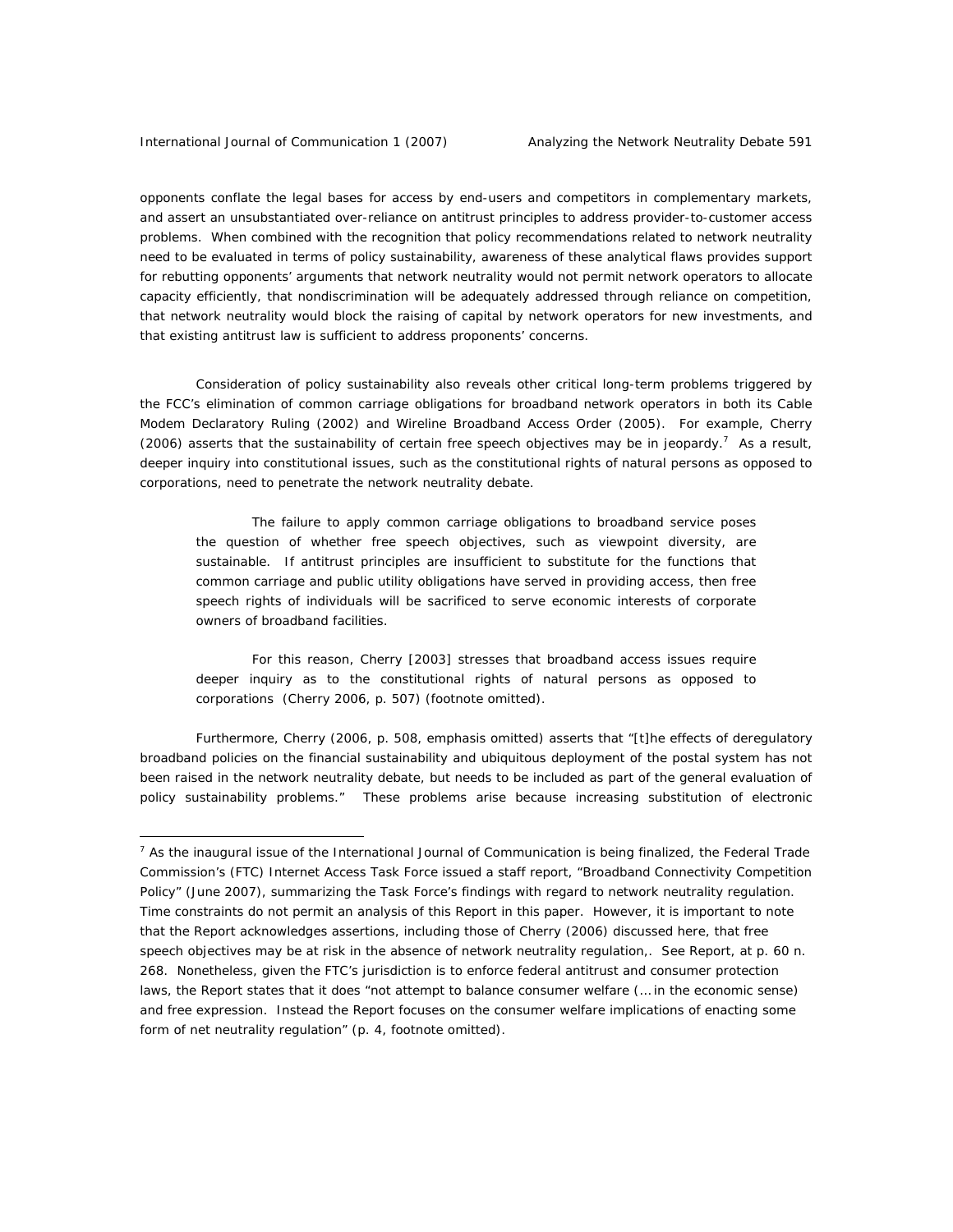opponents conflate the legal bases for access by end-users and competitors in complementary markets, and assert an unsubstantiated over-reliance on antitrust principles to address provider-to-customer access problems. When combined with the recognition that policy recommendations related to network neutrality need to be evaluated in terms of policy sustainability, awareness of these analytical flaws provides support for rebutting opponents' arguments that network neutrality would not permit network operators to allocate capacity efficiently, that nondiscrimination will be adequately addressed through reliance on competition, that network neutrality would block the raising of capital by network operators for new investments, and that existing antitrust law is sufficient to address proponents' concerns.

Consideration of policy sustainability also reveals other critical long-term problems triggered by the FCC's elimination of common carriage obligations for broadband network operators in both its *Cable Modem Declaratory Ruling* (2002) and *Wireline Broadband Access Order* (2005). For example, Cherry  $(2006)$  asserts that the sustainability of certain free speech objectives may be in jeopardy.<sup>7</sup> As a result, deeper inquiry into constitutional issues, such as the constitutional rights of natural persons as opposed to corporations, need to penetrate the network neutrality debate.

The failure to apply common carriage obligations to broadband service poses the question of whether free speech objectives, such as viewpoint diversity, are sustainable. If antitrust principles are insufficient to substitute for the functions that common carriage and public utility obligations have served in providing access, then free speech rights of individuals will be sacrificed to serve economic interests of corporate owners of broadband facilities.

For this reason, Cherry [2003] stresses that broadband access issues require deeper inquiry as to the constitutional rights of natural persons as opposed to corporations (Cherry 2006, p. 507) (footnote omitted).

Furthermore, Cherry (2006, p. 508, emphasis omitted) asserts that "[t]he effects of deregulatory broadband policies on the financial sustainability and ubiquitous deployment of the postal system has not been raised in the network neutrality debate, but needs to be included as part of the general evaluation of policy sustainability problems." These problems arise because increasing substitution of electronic

<sup>&</sup>lt;sup>7</sup> As the inaugural issue of the *International Journal of Communication* is being finalized, the Federal Trade Commission's (FTC) Internet Access Task Force issued a staff report, "Broadband Connectivity Competition Policy" (June 2007), summarizing the Task Force's findings with regard to network neutrality regulation. Time constraints do not permit an analysis of this Report in this paper. However, it is important to note that the Report acknowledges assertions, including those of Cherry (2006) discussed here, that free speech objectives may be at risk in the absence of network neutrality regulation,. *See* Report, at p. 60 n. 268. Nonetheless, given the FTC's jurisdiction is to enforce federal antitrust and consumer protection laws, the Report states that it does "not attempt to balance consumer welfare (… in the economic sense) and free expression. Instead the Report focuses on the consumer welfare implications of enacting some form of net neutrality regulation" (p. 4, footnote omitted).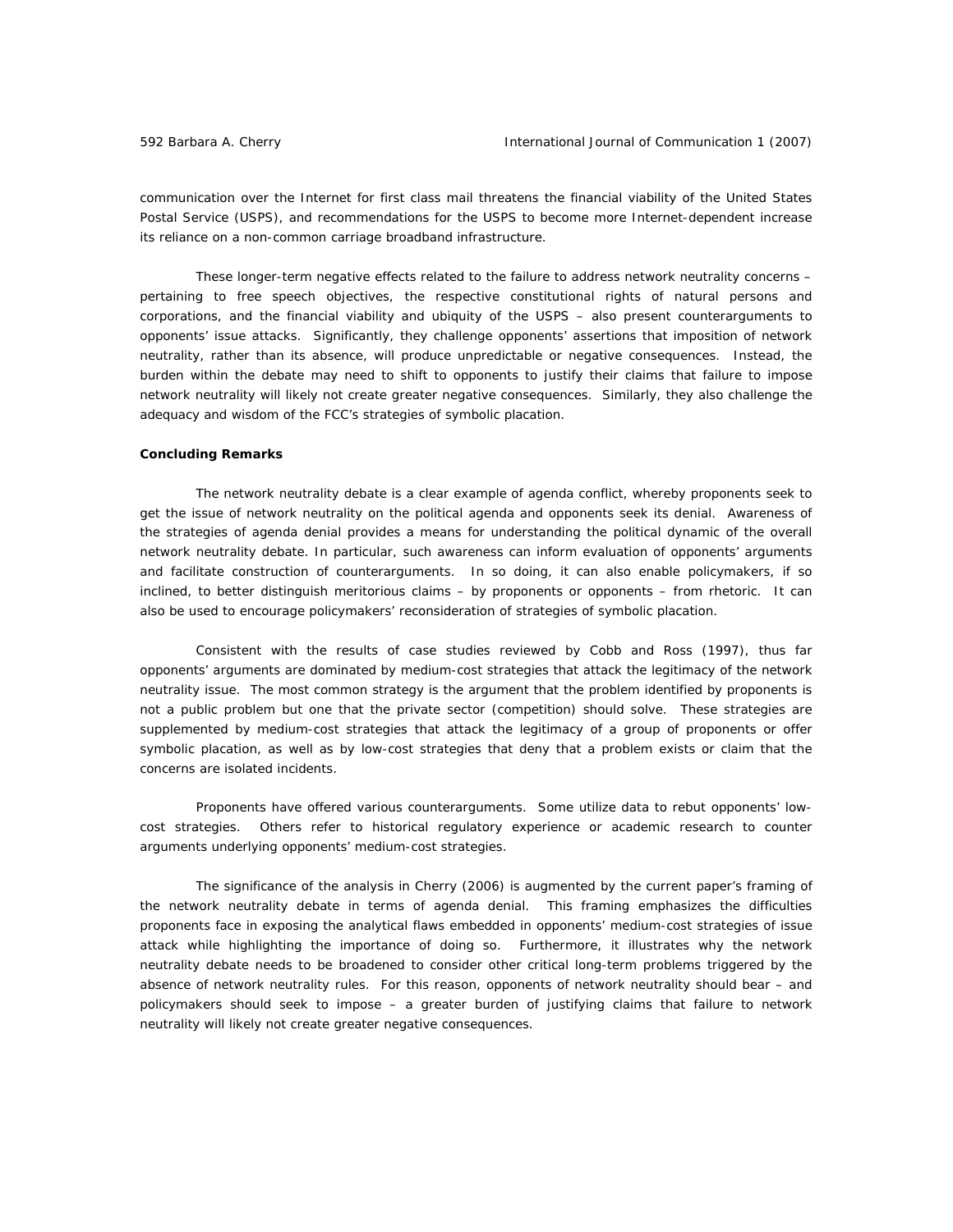communication over the Internet for first class mail threatens the financial viability of the United States Postal Service (USPS), and recommendations for the USPS to become more Internet-dependent increase its reliance on a non-common carriage broadband infrastructure.

These longer-term negative effects related to the failure to address network neutrality concerns – pertaining to free speech objectives, the respective constitutional rights of natural persons and corporations, and the financial viability and ubiquity of the USPS – also present counterarguments to opponents' issue attacks. Significantly, they challenge opponents' assertions that imposition of network neutrality, rather than its absence, will produce unpredictable or negative consequences. Instead, the burden within the debate may need to shift to opponents to justify their claims that failure to impose network neutrality will likely *not* create greater negative consequences. Similarly, they also challenge the adequacy and wisdom of the FCC's strategies of symbolic placation.

### **Concluding Remarks**

The network neutrality debate is a clear example of agenda conflict, whereby proponents seek to get the issue of network neutrality on the political agenda and opponents seek its denial. Awareness of the strategies of agenda denial provides a means for understanding the political dynamic of the overall network neutrality debate. In particular, such awareness can inform evaluation of opponents' arguments and facilitate construction of counterarguments. In so doing, it can also enable policymakers, if so inclined, to better distinguish meritorious claims – by proponents or opponents – from rhetoric. It can also be used to encourage policymakers' reconsideration of strategies of symbolic placation.

Consistent with the results of case studies reviewed by Cobb and Ross (1997), thus far opponents' arguments are dominated by medium-cost strategies that attack the legitimacy of the network neutrality issue. The most common strategy is the argument that the problem identified by proponents is not a public problem but one that the private sector (competition) should solve. These strategies are supplemented by medium-cost strategies that attack the legitimacy of a group of proponents or offer symbolic placation, as well as by low-cost strategies that deny that a problem exists or claim that the concerns are isolated incidents.

Proponents have offered various counterarguments. Some utilize data to rebut opponents' lowcost strategies. Others refer to historical regulatory experience or academic research to counter arguments underlying opponents' medium-cost strategies.

The significance of the analysis in Cherry (2006) is augmented by the current paper's framing of the network neutrality debate in terms of agenda denial. This framing emphasizes the difficulties proponents face in exposing the analytical flaws embedded in opponents' medium-cost strategies of issue attack while highlighting the importance of doing so. Furthermore, it illustrates why the network neutrality debate needs to be broadened to consider other critical long-term problems triggered by the *absence* of network neutrality rules. For this reason, opponents of network neutrality should bear – and policymakers should seek to impose – a greater burden of justifying claims that failure to network neutrality will likely *not* create greater negative consequences.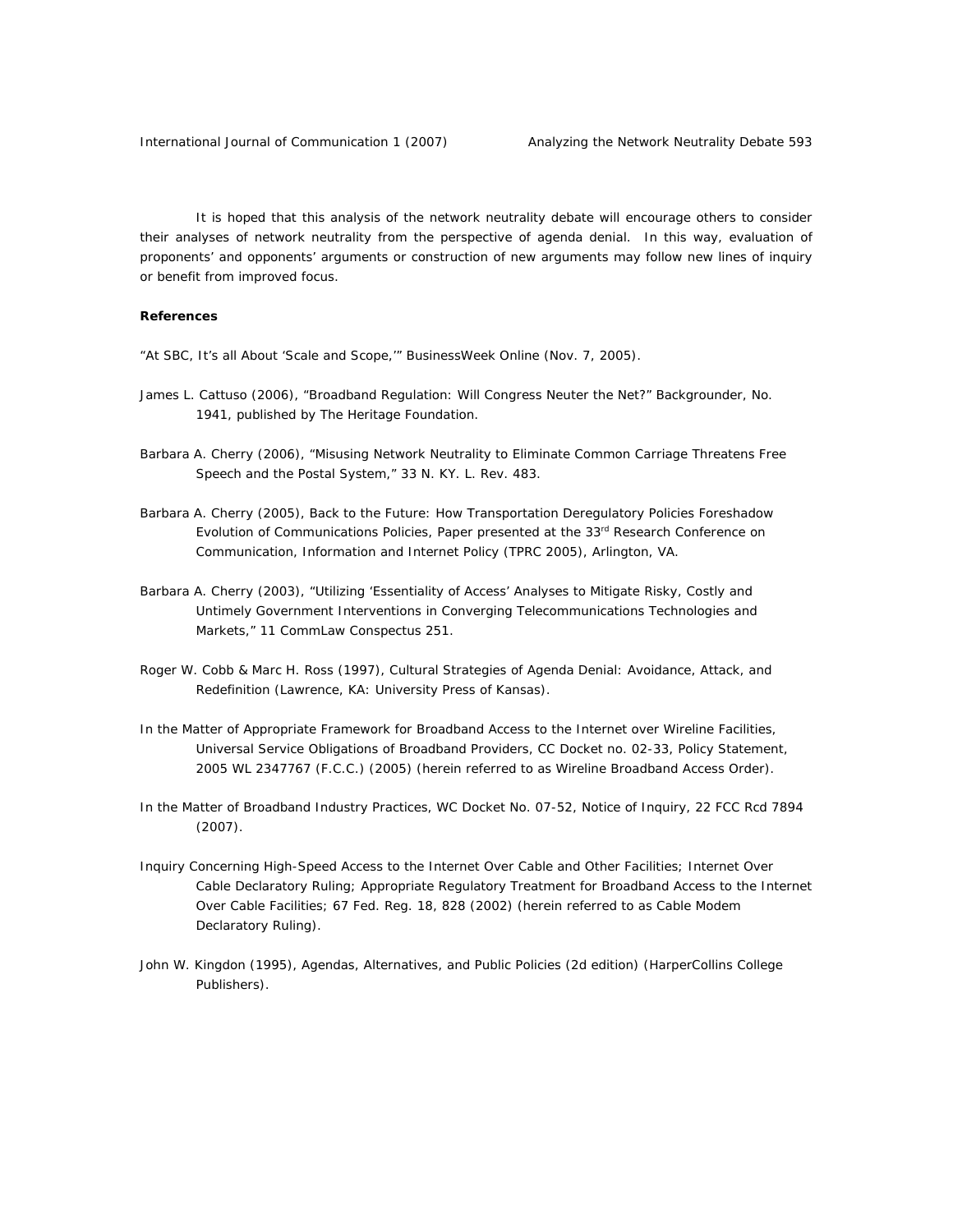It is hoped that this analysis of the network neutrality debate will encourage others to consider their analyses of network neutrality from the perspective of agenda denial. In this way, evaluation of proponents' and opponents' arguments or construction of new arguments may follow new lines of inquiry or benefit from improved focus.

# **References**

"At SBC, It's all About 'Scale and Scope,'" *BusinessWeek Online* (Nov. 7, 2005).

- James L. Cattuso (2006), "Broadband Regulation: Will Congress Neuter the Net?" *Backgrounder*, No. 1941, published by The Heritage Foundation.
- Barbara A. Cherry (2006), "Misusing Network Neutrality to Eliminate Common Carriage Threatens Free Speech and the Postal System," 33 *N. KY. L. Rev.* 483.
- Barbara A. Cherry (2005), *Back to the Future: How Transportation Deregulatory Policies Foreshadow Evolution of Communications Policies,* Paper presented at the 33rd Research Conference on Communication, Information and Internet Policy (TPRC 2005), Arlington, VA.
- Barbara A. Cherry (2003), "Utilizing 'Essentiality of Access' Analyses to Mitigate Risky, Costly and Untimely Government Interventions in Converging Telecommunications Technologies and Markets," 11 *CommLaw Conspectus* 251.
- Roger W. Cobb & Marc H. Ross (1997), *Cultural Strategies of Agenda Denial: Avoidance, Attack, and Redefinition* (Lawrence, KA: University Press of Kansas).
- *In the Matter of Appropriate Framework for Broadband Access to the Internet over Wireline Facilities, Universal Service Obligations of Broadband Providers,* CC Docket no. 02-33, Policy Statement, 2005 WL 2347767 (F.C.C.) (2005) (herein referred to as *Wireline Broadband Access Order*).
- *In the Matter of Broadband Industry Practices,* WC Docket No. 07-52, Notice of Inquiry, 22 FCC Rcd 7894 (2007).
- *Inquiry Concerning High-Speed Access to the Internet Over Cable and Other Facilities;* Internet Over Cable Declaratory Ruling; Appropriate Regulatory Treatment for Broadband Access to the Internet Over Cable Facilities; 67 Fed. Reg. 18, 828 (2002) (herein referred to as *Cable Modem Declaratory Ruling*).
- John W. Kingdon (1995), *Agendas, Alternatives, and Public Policies (2d edition)* (HarperCollins College Publishers).